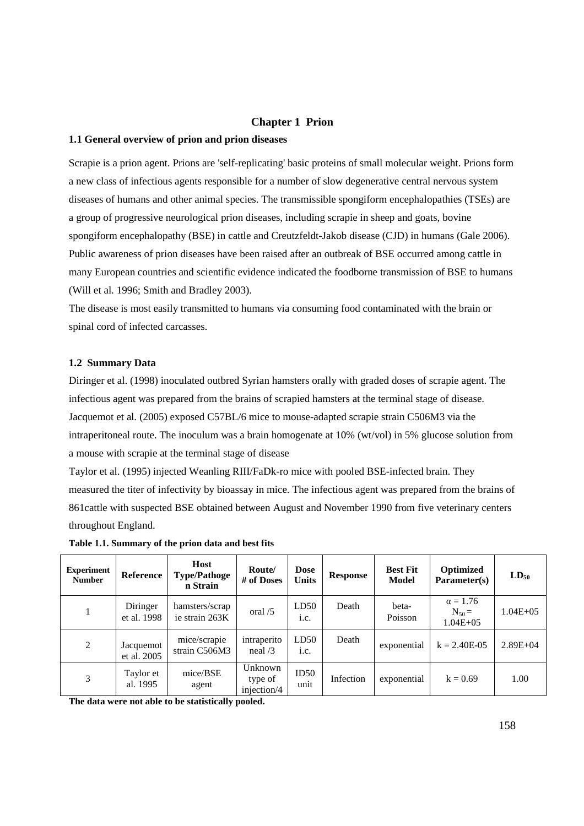#### **Chapter 1 Prion**

#### **1.1 General overview of prion and prion diseases**

Scrapie is a prion agent. Prions are 'self-replicating' basic proteins of small molecular weight. Prions form a new class of infectious agents responsible for a number of slow degenerative central nervous system diseases of humans and other animal species. The transmissible spongiform encephalopathies (TSEs) are a group of progressive neurological prion diseases, including scrapie in sheep and goats, bovine spongiform encephalopathy (BSE) in cattle and Creutzfeldt-Jakob disease (CJD) in humans (Gale 2006). Public awareness of prion diseases have been raised after an outbreak of BSE occurred among cattle in many European countries and scientific evidence indicated the foodborne transmission of BSE to humans (Will et al. 1996; Smith and Bradley 2003).

The disease is most easily transmitted to humans via consuming food contaminated with the brain or spinal cord of infected carcasses.

#### **1.2 Summary Data**

Diringer et al. (1998) inoculated outbred Syrian hamsters orally with graded doses of scrapie agent. The infectious agent was prepared from the brains of scrapied hamsters at the terminal stage of disease. Jacquemot et al. (2005) exposed C57BL/6 mice to mouse-adapted scrapie strain C506M3 via the intraperitoneal route. The inoculum was a brain homogenate at 10% (wt/vol) in 5% glucose solution from a mouse with scrapie at the terminal stage of disease

Taylor et al. (1995) injected Weanling RIII/FaDk-ro mice with pooled BSE-infected brain. They measured the titer of infectivity by bioassay in mice. The infectious agent was prepared from the brains of 861cattle with suspected BSE obtained between August and November 1990 from five veterinary centers throughout England.

| <b>Experiment</b><br><b>Number</b> | Reference                | Host<br><b>Type/Pathoge</b><br>n Strain | Route/<br># of Doses              | <b>Dose</b><br><b>Units</b> | Response  | <b>Best Fit</b><br><b>Model</b> | Optimized<br>Parameter(s)                      | $LD_{50}$    |
|------------------------------------|--------------------------|-----------------------------------------|-----------------------------------|-----------------------------|-----------|---------------------------------|------------------------------------------------|--------------|
|                                    | Diringer<br>et al. 1998  | hamsters/scrap<br>ie strain 263K        | oral $/5$                         | LD50<br>1.C.                | Death     | beta-<br>Poisson                | $\alpha = 1.76$<br>$N_{50} =$<br>$1.04E + 0.5$ | $1.04E + 05$ |
| 2                                  | Jacquemot<br>et al. 2005 | mice/scrapie<br>strain C506M3           | intraperito<br>$\text{real}/3$    | LD50<br>1.C.                | Death     | exponential                     | $k = 2.40E-05$                                 | $2.89E + 04$ |
| 3                                  | Taylor et<br>al. 1995    | mice/BSE<br>agent                       | Unknown<br>type of<br>injection/4 | ID50<br>unit                | Infection | exponential                     | $k = 0.69$                                     | 1.00         |

**Table 1.1. Summary of the prion data and best fits** 

**The data were not able to be statistically pooled.**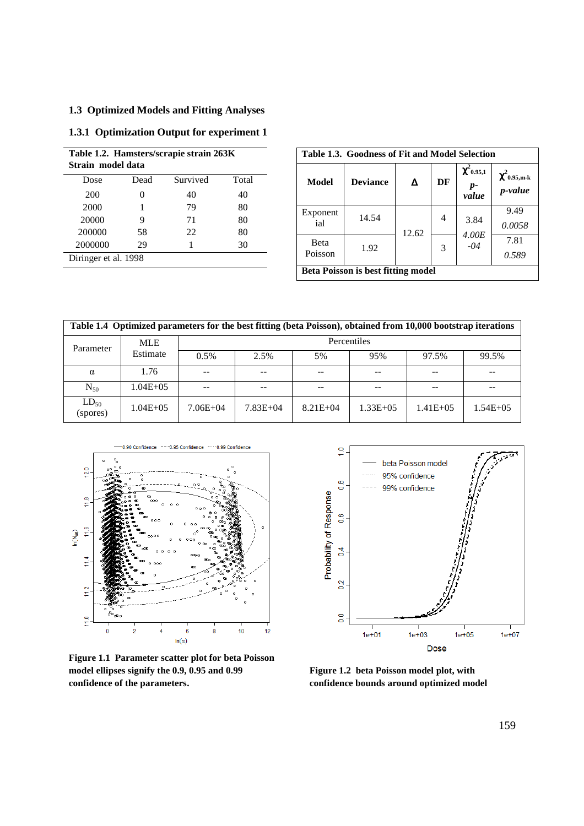# **1.3 Optimized Models and Fitting Analyses**

### **1.3.1 Optimization Output for experiment 1**

| Table 1.2. Hamsters/scrapie strain 263K<br>Strain model data |      |          |       |  |  |  |
|--------------------------------------------------------------|------|----------|-------|--|--|--|
| Dose                                                         | Dead | Survived | Total |  |  |  |
| 200                                                          |      | 40       | 40    |  |  |  |
| 2000                                                         |      | 79       | 80    |  |  |  |
| 20000                                                        | 9    | 71       | 80    |  |  |  |
| 200000                                                       | 58   | 22       | 80    |  |  |  |
| 2000000                                                      | 29   |          | 30    |  |  |  |
| Diringer et al. 1998                                         |      |          |       |  |  |  |

| Table 1.3. Goodness of Fit and Model Selection |                 |       |    |                                |                              |  |  |  |
|------------------------------------------------|-----------------|-------|----|--------------------------------|------------------------------|--|--|--|
| Model                                          | <b>Deviance</b> |       | DF | $\chi^2$ 0.95,1<br>p-<br>value | $\chi^2$ 0.95,m-k<br>p-value |  |  |  |
| Exponent<br>ial                                | 14.54           | 12.62 | 4  | 3.84<br>4.00E                  | 9.49<br>0.0058               |  |  |  |
| Beta<br>Poisson                                | 1.92            |       | 3  | $-04$                          | 7.81<br>0.589                |  |  |  |
| <b>Beta Poisson is best fitting model</b>      |                 |       |    |                                |                              |  |  |  |

| Table 1.4 Optimized parameters for the best fitting (beta Poisson), obtained from 10,000 bootstrap iterations |              |              |              |              |               |               |               |  |
|---------------------------------------------------------------------------------------------------------------|--------------|--------------|--------------|--------------|---------------|---------------|---------------|--|
| Parameter                                                                                                     | <b>MLE</b>   | Percentiles  |              |              |               |               |               |  |
|                                                                                                               | Estimate     | 0.5%         | 2.5%         | 5%           | 95%           | 97.5%         | 99.5%         |  |
| $\alpha$                                                                                                      | 1.76         |              | $-$          | $- -$        |               |               | --            |  |
| $N_{50}$                                                                                                      | $1.04E + 05$ |              | $ -$         |              |               |               | --            |  |
| $LD_{50}$<br>(spores)                                                                                         | $1.04E + 05$ | $7.06E + 04$ | $7.83E + 04$ | $8.21E + 04$ | $1.33E + 0.5$ | $1.41E + 0.5$ | $1.54E + 0.5$ |  |



**Figure 1.1 Parameter scatter plot for beta Poisson model ellipses signify the 0.9, 0.95 and 0.99 confidence of the parameters.** 



**Figure 1.2 beta Poisson model plot, with confidence bounds around optimized model**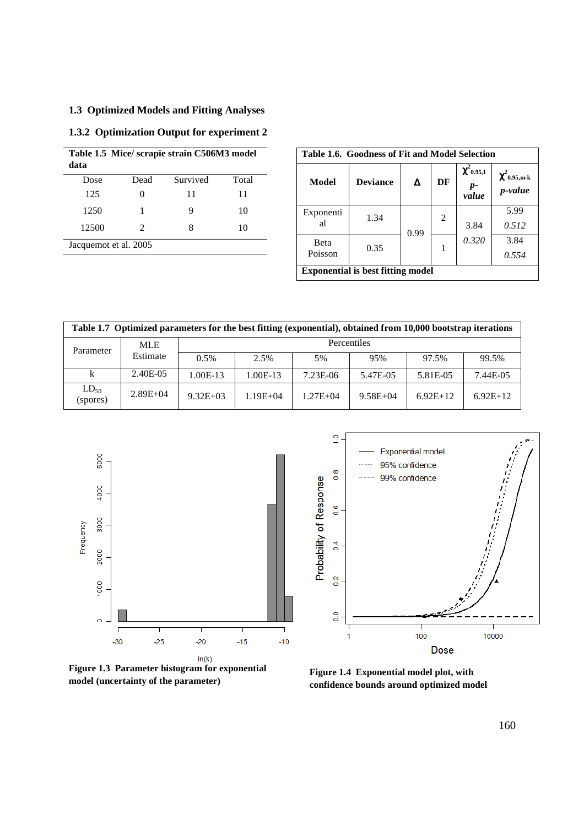# **1.3 Optimized Models and Fitting Analyses**

# **1.3.2 Optimization Output for experiment 2**

| data                  |               | Table 1.5 Mice/ scrapie strain C506M3 model |       |  |  |  |
|-----------------------|---------------|---------------------------------------------|-------|--|--|--|
| Dose                  | Dead          | Survived                                    | Total |  |  |  |
| 125                   |               | 11                                          | 11    |  |  |  |
| 1250                  |               |                                             | 10    |  |  |  |
| 12500                 | $\mathcal{L}$ | 8                                           | 10    |  |  |  |
| Jacquemot et al. 2005 |               |                                             |       |  |  |  |

| Table 1.6. Goodness of Fit and Model Selection |                 |      |    |                                |                              |  |  |
|------------------------------------------------|-----------------|------|----|--------------------------------|------------------------------|--|--|
| Model                                          | <b>Deviance</b> | Δ    | DF | $\chi^2$ 0.95,1<br>p-<br>value | $\chi^2$ 0.95,m-k<br>p-value |  |  |
| Exponenti<br>al                                | 1.34            | 0.99 | 2  | 3.84                           | 5.99<br>0.512                |  |  |
| Beta<br>Poisson                                | 0.35            |      |    | 0.320                          | 3.84<br>0.554                |  |  |
| <b>Exponential is best fitting model</b>       |                 |      |    |                                |                              |  |  |

| Table 1.7 Optimized parameters for the best fitting (exponential), obtained from 10,000 bootstrap iterations |              |              |              |              |              |            |            |  |
|--------------------------------------------------------------------------------------------------------------|--------------|--------------|--------------|--------------|--------------|------------|------------|--|
| Parameter                                                                                                    | <b>MLE</b>   |              |              |              | Percentiles  |            |            |  |
|                                                                                                              | Estimate     | 0.5%         | 2.5%         | 5%           | 95%          | 97.5%      | 99.5%      |  |
| k                                                                                                            | 2.40E-05     | $1.00E-13$   | $1.00E-13$   | 7.23E-06     | 5.47E-05     | 5.81E-05   | 7.44E-05   |  |
| $LD_{50}$<br>(spores)                                                                                        | $2.89E + 04$ | $9.32E + 03$ | $1.19E + 04$ | $1.27E + 04$ | $9.58E + 04$ | $6.92E+12$ | $6.92E+12$ |  |



**model (uncertainty of the parameter)**



**Figure 1.4 Exponential model plot, with confidence bounds around optimized model**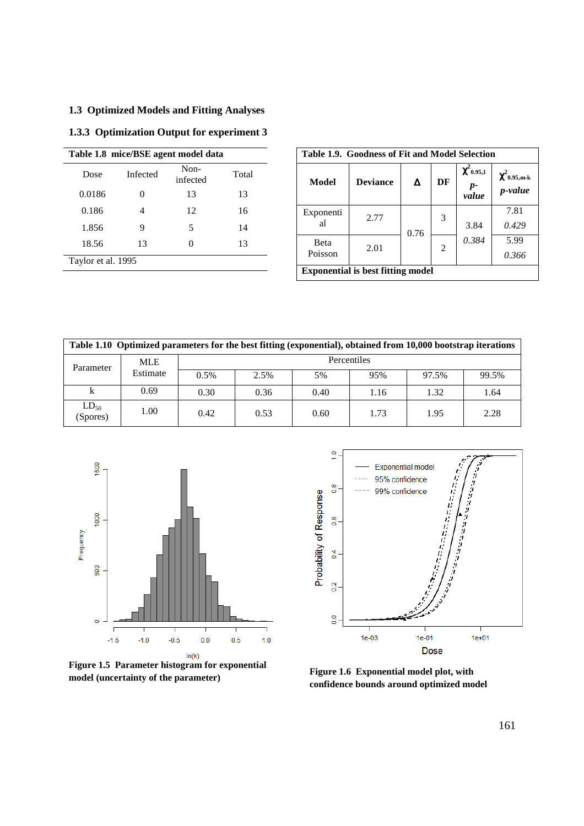# **1.3 Optimized Models and Fitting Analyses**

# **1.3.3 Optimization Output for experiment 3**

|                    | Table 1.8 mice/BSE agent model data |                  |       |  |  |  |  |  |  |
|--------------------|-------------------------------------|------------------|-------|--|--|--|--|--|--|
| Dose               | Infected                            | Non-<br>infected | Total |  |  |  |  |  |  |
| 0.0186             | 0                                   | 13               | 13    |  |  |  |  |  |  |
| 0.186              |                                     | 12               | 16    |  |  |  |  |  |  |
| 1.856              | 9                                   | 5                | 14    |  |  |  |  |  |  |
| 18.56              | 13                                  | 0                | 13    |  |  |  |  |  |  |
| Taylor et al. 1995 |                                     |                  |       |  |  |  |  |  |  |

| Table 1.9. Goodness of Fit and Model Selection |                 |      |    |                                |                              |  |  |
|------------------------------------------------|-----------------|------|----|--------------------------------|------------------------------|--|--|
| Model                                          | <b>Deviance</b> | Δ    | DF | $\chi^2$ 0.95,1<br>p-<br>value | $\chi^2$ 0.95,m-k<br>p-value |  |  |
| Exponenti<br>al                                | 2.77            | 0.76 | 3  | 3.84                           | 7.81<br>0.429                |  |  |
| <b>B</b> eta<br>Poisson                        | 2.01            |      | 2  | 0.384                          | 5.99<br>0.366                |  |  |
| <b>Exponential is best fitting model</b>       |                 |      |    |                                |                              |  |  |

| Table 1.10 Optimized parameters for the best fitting (exponential), obtained from 10,000 bootstrap iterations |            |             |      |      |      |       |       |  |
|---------------------------------------------------------------------------------------------------------------|------------|-------------|------|------|------|-------|-------|--|
| Parameter                                                                                                     | <b>MLE</b> | Percentiles |      |      |      |       |       |  |
|                                                                                                               | Estimate   | 0.5%        | 2.5% | 5%   | 95%  | 97.5% | 99.5% |  |
| k                                                                                                             | 0.69       | 0.30        | 0.36 | 0.40 | 1.16 | 1.32  | 1.64  |  |
| $LD_{50}$<br>(Spores)                                                                                         | 1.00       | 0.42        | 0.53 | 0.60 | 1.73 | 1.95  | 2.28  |  |



**Figure 1.5 Parameter histogram for exponential Figure 1.5 Farameter instogram for exponential model confidence bounds around optimized model (uncertainty of the parameter)** 



**confidence bounds around optimized model**